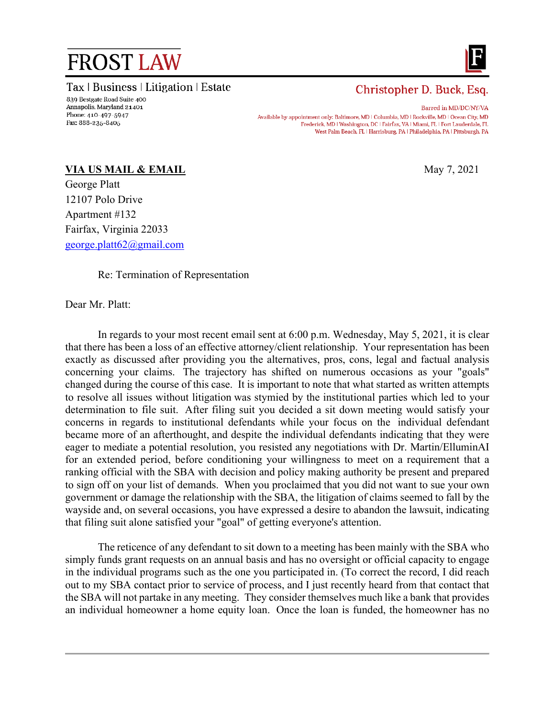## **FROST LAW**

Tax | Business | Litigation | Estate



## Christopher D. Buck, Esq.

Barred in MD/DC/NY/VA Available by appointment only: Baltimore, MD | Columbia, MD | Rockville, MD | Ocean City, MD Frederick, MD | Washington, DC | Fairfax, VA | Miami, FL | Fort Lauderdale, FL West Palm Beach, FL | Harrisburg, PA | Philadelphia, PA | Pittsburgh, PA

## **VIA US MAIL & EMAIL** May 7, 2021

George Platt 12107 Polo Drive Apartment #132 Fairfax, Virginia 22033 [george.platt62@gmail.com](mailto:george.platt62@gmail.com)

Re: Termination of Representation

Dear Mr. Platt:

In regards to your most recent email sent at 6:00 p.m. Wednesday, May 5, 2021, it is clear that there has been a loss of an effective attorney/client relationship. Your representation has been exactly as discussed after providing you the alternatives, pros, cons, legal and factual analysis concerning your claims. The trajectory has shifted on numerous occasions as your "goals" changed during the course of this case. It is important to note that what started as written attempts to resolve all issues without litigation was stymied by the institutional parties which led to your determination to file suit. After filing suit you decided a sit down meeting would satisfy your concerns in regards to institutional defendants while your focus on the individual defendant became more of an afterthought, and despite the individual defendants indicating that they were eager to mediate a potential resolution, you resisted any negotiations with Dr. Martin/ElluminAI for an extended period, before conditioning your willingness to meet on a requirement that a ranking official with the SBA with decision and policy making authority be present and prepared to sign off on your list of demands. When you proclaimed that you did not want to sue your own government or damage the relationship with the SBA, the litigation of claims seemed to fall by the wayside and, on several occasions, you have expressed a desire to abandon the lawsuit, indicating that filing suit alone satisfied your "goal" of getting everyone's attention.

The reticence of any defendant to sit down to a meeting has been mainly with the SBA who simply funds grant requests on an annual basis and has no oversight or official capacity to engage in the individual programs such as the one you participated in. (To correct the record, I did reach out to my SBA contact prior to service of process, and I just recently heard from that contact that the SBA will not partake in any meeting. They consider themselves much like a bank that provides an individual homeowner a home equity loan. Once the loan is funded, the homeowner has no